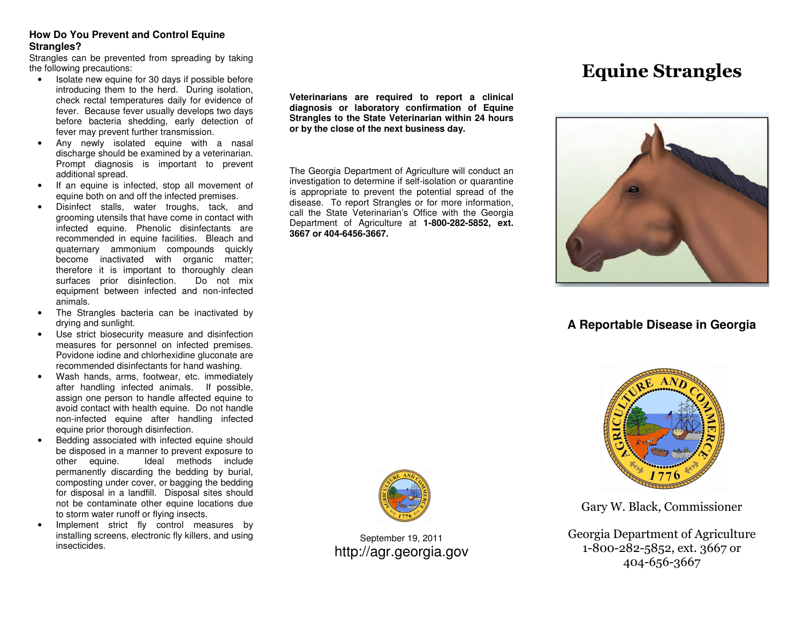## **How Do You Prevent and Control Equine Strangles?**

 Strangles can be prevented from spreading by takingthe following precautions:

- Isolate new equine for 30 days if possible before introducing them to the herd. During isolation, check rectal temperatures daily for evidence of fever. Because fever usually develops two days before bacteria shedding, early detection of fever may prevent further transmission.
- Any newly isolated equine with a nasal discharge should be examined by a veterinarian. Prompt diagnosis is important to prevent additional spread.
- If an equine is infected, stop all movement of equine both on and off the infected premises.
- Disinfect stalls, water troughs, tack, and grooming utensils that have come in contact with infected equine. Phenolic disinfectants are recommended in equine facilities. Bleach and quaternary ammonium compounds quickly become inactivated with organic matter; therefore it is important to thoroughly clean Do not mix surfaces prior disinfection. equipment between infected and non-infected animals.
- The Strangles bacteria can be inactivated by drying and sunlight.
- Use strict biosecurity measure and disinfection measures for personnel on infected premises. Povidone iodine and chlorhexidine gluconate are recommended disinfectants for hand washing.
- Wash hands, arms, footwear, etc. immediately after handling infected animals. If possible, assign one person to handle affected equine to avoid contact with health equine. Do not handle non-infected equine after handling infected equine prior thorough disinfection.
- Bedding associated with infected equine should be disposed in a manner to prevent exposure to other equine. Ideal methods include permanently discarding the bedding by burial, composting under cover, or bagging the bedding for disposal in a landfill. Disposal sites should not be contaminate other equine locations due to storm water runoff or flying insects.
- Implement strict fly control measures by installing screens, electronic fly killers, and using insecticides.

**Veterinarians are required to report a clinical diagnosis or laboratory confirmation of Equine Strangles to the State Veterinarian within 24 hoursor by the close of the next business day.** 

The Georgia Department of Agriculture will conduct an investigation to determine if self-isolation or quarantine is appropriate to prevent the potential spread of the disease. To report Strangles or for more information, call the State Veterinarian's Office with the Georgia Department of Agriculture at **1-800-282-5852, ext. 3667 or 404-6456-3667.** 





# **A Reportable Disease in Georgia**



Gary W. Black, Commissioner

Georgia Department of Agriculture 1-800-282-5852, ext. 3667 or 404-656-3667



September 19, 2011 http://agr.georgia.gov